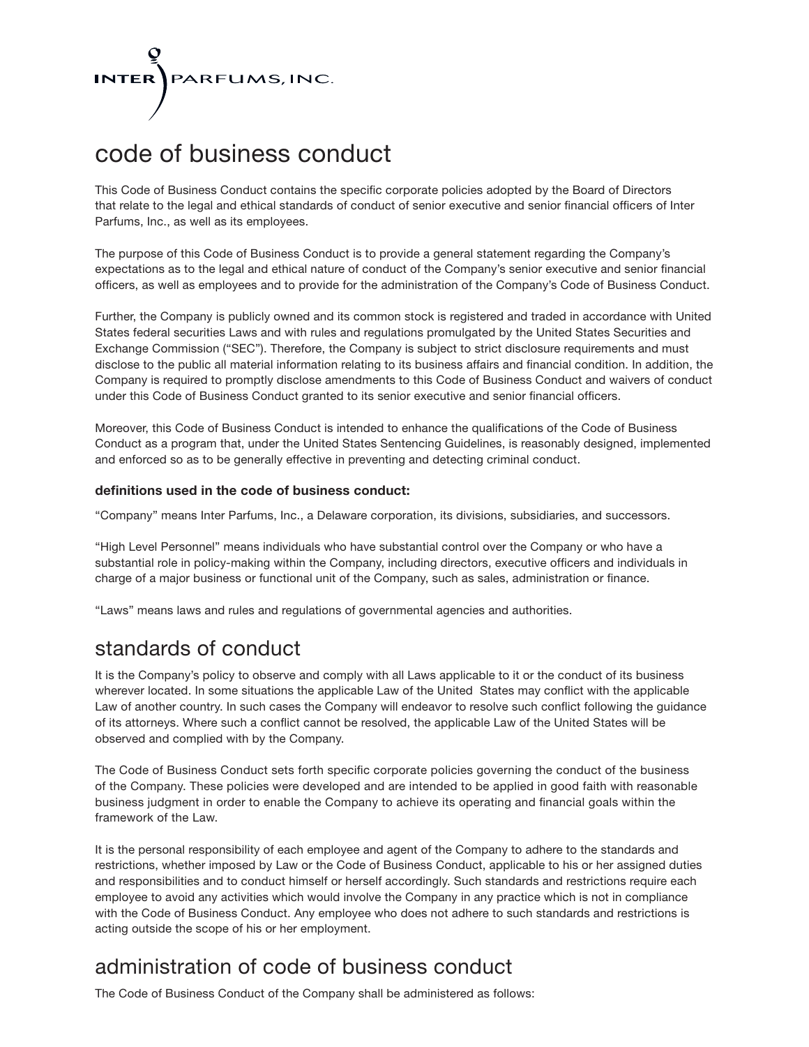

# code of business conduct

This Code of Business Conduct contains the specific corporate policies adopted by the Board of Directors that relate to the legal and ethical standards of conduct of senior executive and senior financial officers of Inter Parfums, Inc., as well as its employees.

The purpose of this Code of Business Conduct is to provide a general statement regarding the Company's expectations as to the legal and ethical nature of conduct of the Company's senior executive and senior financial officers, as well as employees and to provide for the administration of the Company's Code of Business Conduct.

Further, the Company is publicly owned and its common stock is registered and traded in accordance with United States federal securities Laws and with rules and regulations promulgated by the United States Securities and Exchange Commission ("SEC"). Therefore, the Company is subject to strict disclosure requirements and must disclose to the public all material information relating to its business affairs and financial condition. In addition, the Company is required to promptly disclose amendments to this Code of Business Conduct and waivers of conduct under this Code of Business Conduct granted to its senior executive and senior financial officers.

Moreover, this Code of Business Conduct is intended to enhance the qualifications of the Code of Business Conduct as a program that, under the United States Sentencing Guidelines, is reasonably designed, implemented and enforced so as to be generally effective in preventing and detecting criminal conduct.

### **definitions used in the code of business conduct:**

"Company" means Inter Parfums, Inc., a Delaware corporation, its divisions, subsidiaries, and successors.

"High Level Personnel" means individuals who have substantial control over the Company or who have a substantial role in policy-making within the Company, including directors, executive officers and individuals in charge of a major business or functional unit of the Company, such as sales, administration or finance.

"Laws" means laws and rules and regulations of governmental agencies and authorities.

### standards of conduct

It is the Company's policy to observe and comply with all Laws applicable to it or the conduct of its business wherever located. In some situations the applicable Law of the United States may conflict with the applicable Law of another country. In such cases the Company will endeavor to resolve such conflict following the guidance of its attorneys. Where such a conflict cannot be resolved, the applicable Law of the United States will be observed and complied with by the Company.

The Code of Business Conduct sets forth specific corporate policies governing the conduct of the business of the Company. These policies were developed and are intended to be applied in good faith with reasonable business judgment in order to enable the Company to achieve its operating and financial goals within the framework of the Law.

It is the personal responsibility of each employee and agent of the Company to adhere to the standards and restrictions, whether imposed by Law or the Code of Business Conduct, applicable to his or her assigned duties and responsibilities and to conduct himself or herself accordingly. Such standards and restrictions require each employee to avoid any activities which would involve the Company in any practice which is not in compliance with the Code of Business Conduct. Any employee who does not adhere to such standards and restrictions is acting outside the scope of his or her employment.

### administration of code of business conduct

The Code of Business Conduct of the Company shall be administered as follows: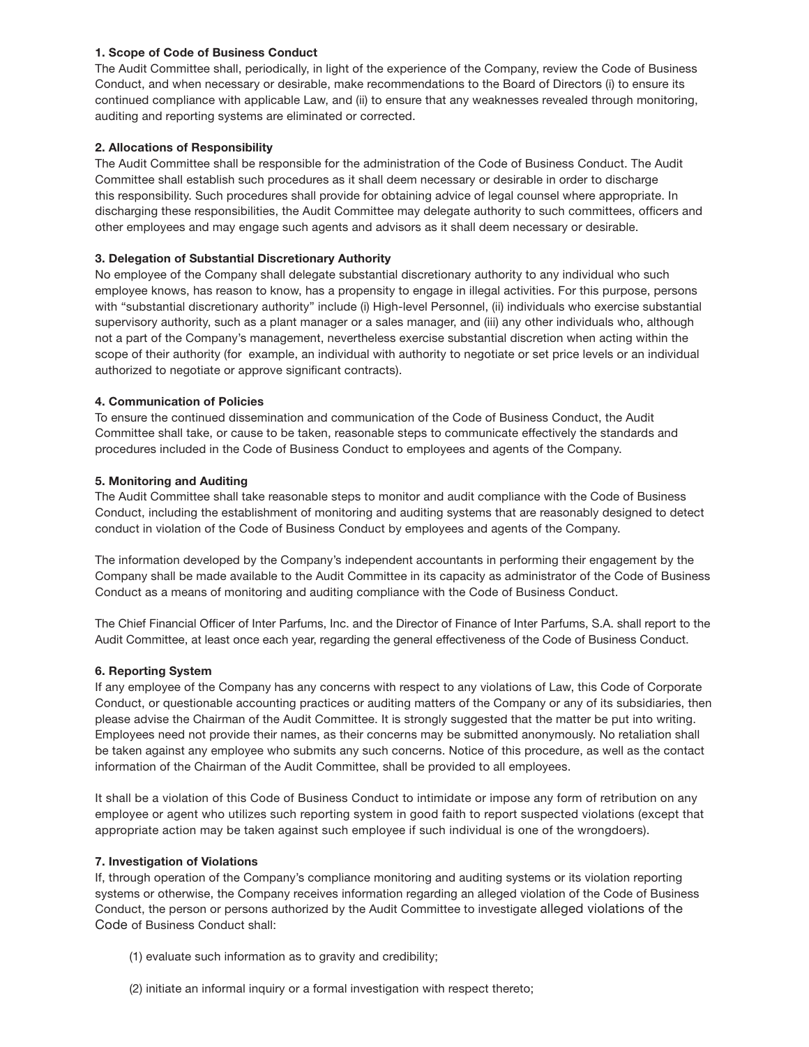### **1. Scope of Code of Business Conduct**

The Audit Committee shall, periodically, in light of the experience of the Company, review the Code of Business Conduct, and when necessary or desirable, make recommendations to the Board of Directors (i) to ensure its continued compliance with applicable Law, and (ii) to ensure that any weaknesses revealed through monitoring, auditing and reporting systems are eliminated or corrected.

### **2. Allocations of Responsibility**

The Audit Committee shall be responsible for the administration of the Code of Business Conduct. The Audit Committee shall establish such procedures as it shall deem necessary or desirable in order to discharge this responsibility. Such procedures shall provide for obtaining advice of legal counsel where appropriate. In discharging these responsibilities, the Audit Committee may delegate authority to such committees, officers and other employees and may engage such agents and advisors as it shall deem necessary or desirable.

### **3. Delegation of Substantial Discretionary Authority**

No employee of the Company shall delegate substantial discretionary authority to any individual who such employee knows, has reason to know, has a propensity to engage in illegal activities. For this purpose, persons with "substantial discretionary authority" include (i) High-level Personnel, (ii) individuals who exercise substantial supervisory authority, such as a plant manager or a sales manager, and (iii) any other individuals who, although not a part of the Company's management, nevertheless exercise substantial discretion when acting within the scope of their authority (for example, an individual with authority to negotiate or set price levels or an individual authorized to negotiate or approve significant contracts).

### **4. Communication of Policies**

To ensure the continued dissemination and communication of the Code of Business Conduct, the Audit Committee shall take, or cause to be taken, reasonable steps to communicate effectively the standards and procedures included in the Code of Business Conduct to employees and agents of the Company.

### **5. Monitoring and Auditing**

The Audit Committee shall take reasonable steps to monitor and audit compliance with the Code of Business Conduct, including the establishment of monitoring and auditing systems that are reasonably designed to detect conduct in violation of the Code of Business Conduct by employees and agents of the Company.

The information developed by the Company's independent accountants in performing their engagement by the Company shall be made available to the Audit Committee in its capacity as administrator of the Code of Business Conduct as a means of monitoring and auditing compliance with the Code of Business Conduct.

The Chief Financial Officer of Inter Parfums, Inc. and the Director of Finance of Inter Parfums, S.A. shall report to the Audit Committee, at least once each year, regarding the general effectiveness of the Code of Business Conduct.

### **6. Reporting System**

If any employee of the Company has any concerns with respect to any violations of Law, this Code of Corporate Conduct, or questionable accounting practices or auditing matters of the Company or any of its subsidiaries, then please advise the Chairman of the Audit Committee. It is strongly suggested that the matter be put into writing. Employees need not provide their names, as their concerns may be submitted anonymously. No retaliation shall be taken against any employee who submits any such concerns. Notice of this procedure, as well as the contact information of the Chairman of the Audit Committee, shall be provided to all employees.

It shall be a violation of this Code of Business Conduct to intimidate or impose any form of retribution on any employee or agent who utilizes such reporting system in good faith to report suspected violations (except that appropriate action may be taken against such employee if such individual is one of the wrongdoers).

### **7. Investigation of Violations**

If, through operation of the Company's compliance monitoring and auditing systems or its violation reporting systems or otherwise, the Company receives information regarding an alleged violation of the Code of Business Conduct, the person or persons authorized by the Audit Committee to investigate alleged violations of the Code of Business Conduct shall:

- (1) evaluate such information as to gravity and credibility;
- (2) initiate an informal inquiry or a formal investigation with respect thereto;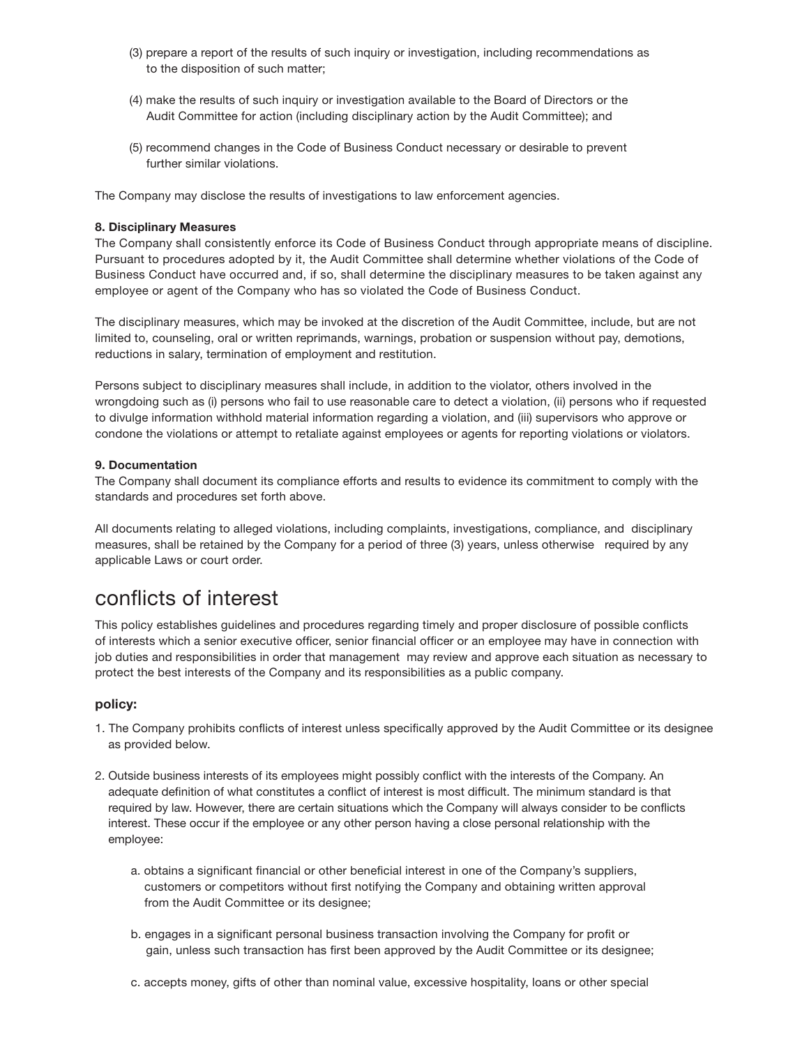- (3) prepare a report of the results of such inquiry or investigation, including recommendations as to the disposition of such matter;
- (4) make the results of such inquiry or investigation available to the Board of Directors or the Audit Committee for action (including disciplinary action by the Audit Committee); and
- (5) recommend changes in the Code of Business Conduct necessary or desirable to prevent further similar violations.

The Company may disclose the results of investigations to law enforcement agencies.

#### **8. Disciplinary Measures**

The Company shall consistently enforce its Code of Business Conduct through appropriate means of discipline. Pursuant to procedures adopted by it, the Audit Committee shall determine whether violations of the Code of Business Conduct have occurred and, if so, shall determine the disciplinary measures to be taken against any employee or agent of the Company who has so violated the Code of Business Conduct.

The disciplinary measures, which may be invoked at the discretion of the Audit Committee, include, but are not limited to, counseling, oral or written reprimands, warnings, probation or suspension without pay, demotions, reductions in salary, termination of employment and restitution.

Persons subject to disciplinary measures shall include, in addition to the violator, others involved in the wrongdoing such as (i) persons who fail to use reasonable care to detect a violation, (ii) persons who if requested to divulge information withhold material information regarding a violation, and (iii) supervisors who approve or condone the violations or attempt to retaliate against employees or agents for reporting violations or violators.

#### **9. Documentation**

The Company shall document its compliance efforts and results to evidence its commitment to comply with the standards and procedures set forth above.

All documents relating to alleged violations, including complaints, investigations, compliance, and disciplinary measures, shall be retained by the Company for a period of three (3) years, unless otherwise required by any applicable Laws or court order.

### conflicts of interest

This policy establishes guidelines and procedures regarding timely and proper disclosure of possible conflicts of interests which a senior executive officer, senior financial officer or an employee may have in connection with job duties and responsibilities in order that management may review and approve each situation as necessary to protect the best interests of the Company and its responsibilities as a public company.

### **policy:**

- 1. The Company prohibits conflicts of interest unless specifically approved by the Audit Committee or its designee as provided below.
- 2. Outside business interests of its employees might possibly conflict with the interests of the Company. An adequate definition of what constitutes a conflict of interest is most difficult. The minimum standard is that required by law. However, there are certain situations which the Company will always consider to be conflicts interest. These occur if the employee or any other person having a close personal relationship with the employee:
	- a. obtains a significant financial or other beneficial interest in one of the Company's suppliers, customers or competitors without first notifying the Company and obtaining written approval from the Audit Committee or its designee;
	- b. engages in a significant personal business transaction involving the Company for profit or gain, unless such transaction has first been approved by the Audit Committee or its designee;
	- c. accepts money, gifts of other than nominal value, excessive hospitality, loans or other special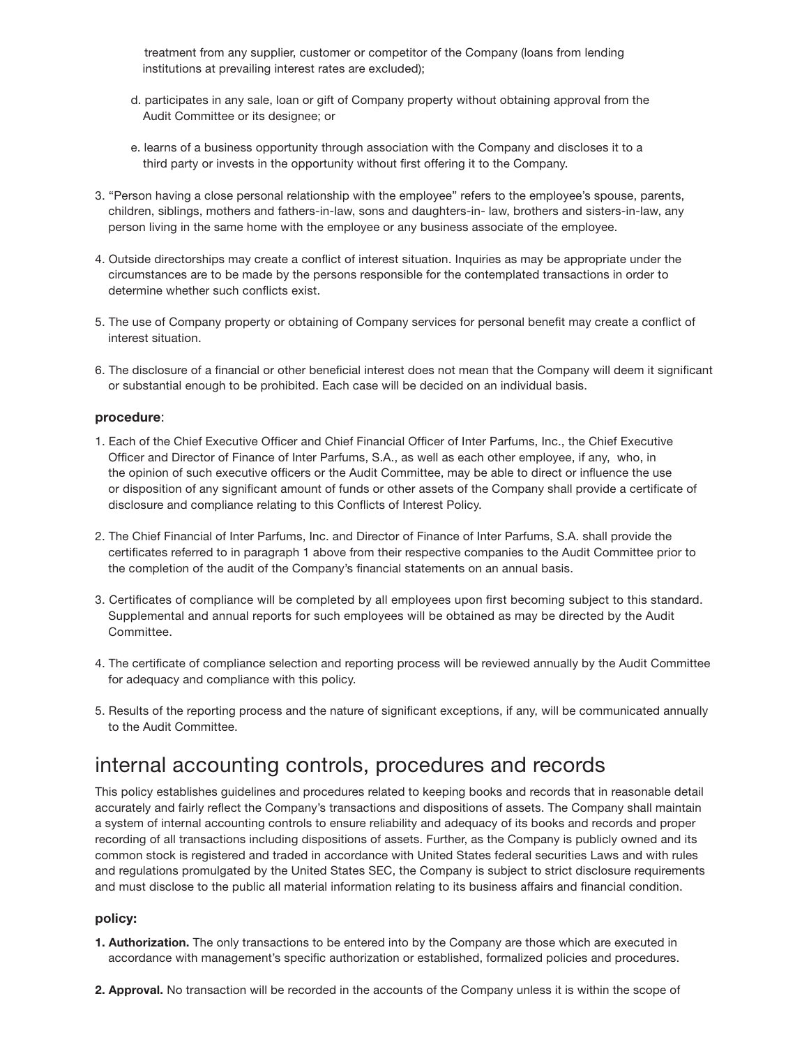treatment from any supplier, customer or competitor of the Company (loans from lending institutions at prevailing interest rates are excluded);

- d. participates in any sale, loan or gift of Company property without obtaining approval from the Audit Committee or its designee; or
- e. learns of a business opportunity through association with the Company and discloses it to a third party or invests in the opportunity without first offering it to the Company.
- 3. "Person having a close personal relationship with the employee" refers to the employee's spouse, parents, children, siblings, mothers and fathers-in-law, sons and daughters-in- law, brothers and sisters-in-law, any person living in the same home with the employee or any business associate of the employee.
- 4. Outside directorships may create a conflict of interest situation. Inquiries as may be appropriate under the circumstances are to be made by the persons responsible for the contemplated transactions in order to determine whether such conflicts exist.
- 5. The use of Company property or obtaining of Company services for personal benefit may create a conflict of interest situation.
- 6. The disclosure of a financial or other beneficial interest does not mean that the Company will deem it significant or substantial enough to be prohibited. Each case will be decided on an individual basis.

### **procedure**:

- 1. Each of the Chief Executive Officer and Chief Financial Officer of Inter Parfums, Inc., the Chief Executive Officer and Director of Finance of Inter Parfums, S.A., as well as each other employee, if any, who, in the opinion of such executive officers or the Audit Committee, may be able to direct or influence the use or disposition of any significant amount of funds or other assets of the Company shall provide a certificate of disclosure and compliance relating to this Conflicts of Interest Policy.
- 2. The Chief Financial of Inter Parfums, Inc. and Director of Finance of Inter Parfums, S.A. shall provide the certificates referred to in paragraph 1 above from their respective companies to the Audit Committee prior to the completion of the audit of the Company's financial statements on an annual basis.
- 3. Certificates of compliance will be completed by all employees upon first becoming subject to this standard. Supplemental and annual reports for such employees will be obtained as may be directed by the Audit Committee.
- 4. The certificate of compliance selection and reporting process will be reviewed annually by the Audit Committee for adequacy and compliance with this policy.
- 5. Results of the reporting process and the nature of significant exceptions, if any, will be communicated annually to the Audit Committee.

### internal accounting controls, procedures and records

This policy establishes guidelines and procedures related to keeping books and records that in reasonable detail accurately and fairly reflect the Company's transactions and dispositions of assets. The Company shall maintain a system of internal accounting controls to ensure reliability and adequacy of its books and records and proper recording of all transactions including dispositions of assets. Further, as the Company is publicly owned and its common stock is registered and traded in accordance with United States federal securities Laws and with rules and regulations promulgated by the United States SEC, the Company is subject to strict disclosure requirements and must disclose to the public all material information relating to its business affairs and financial condition.

### **policy:**

- **1. Authorization.** The only transactions to be entered into by the Company are those which are executed in accordance with management's specific authorization or established, formalized policies and procedures.
- **2. Approval.** No transaction will be recorded in the accounts of the Company unless it is within the scope of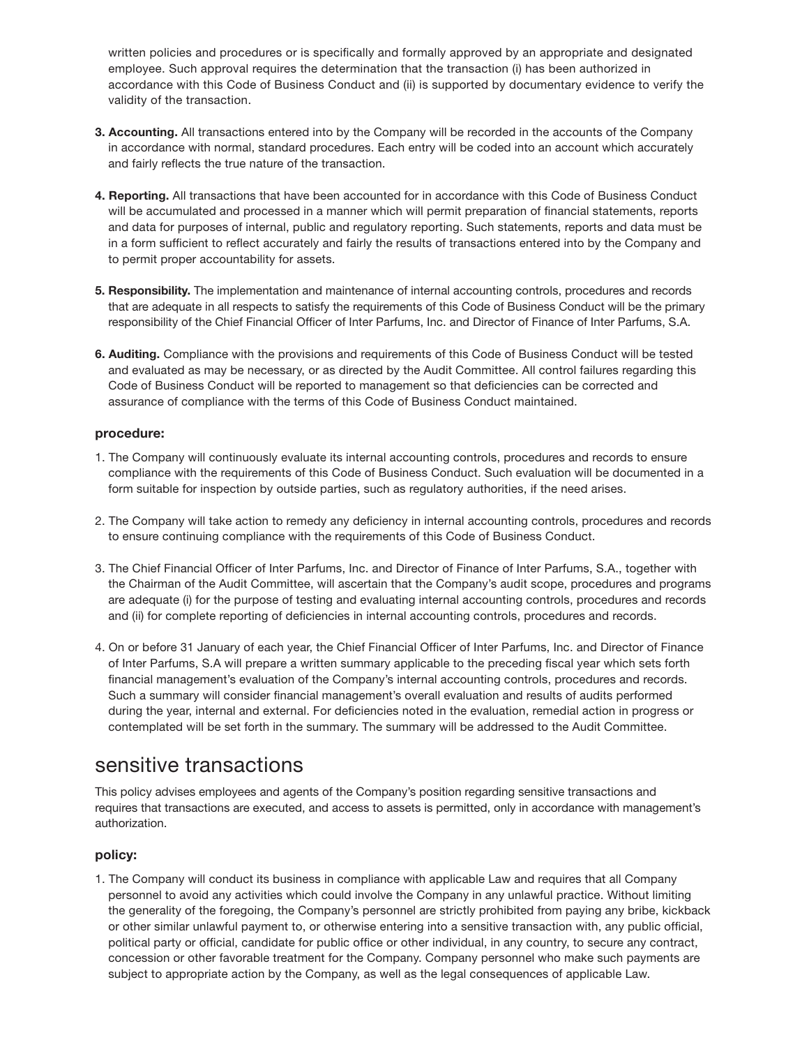written policies and procedures or is specifically and formally approved by an appropriate and designated employee. Such approval requires the determination that the transaction (i) has been authorized in accordance with this Code of Business Conduct and (ii) is supported by documentary evidence to verify the validity of the transaction.

- **3. Accounting.** All transactions entered into by the Company will be recorded in the accounts of the Company in accordance with normal, standard procedures. Each entry will be coded into an account which accurately and fairly reflects the true nature of the transaction.
- **4. Reporting.** All transactions that have been accounted for in accordance with this Code of Business Conduct will be accumulated and processed in a manner which will permit preparation of financial statements, reports and data for purposes of internal, public and regulatory reporting. Such statements, reports and data must be in a form sufficient to reflect accurately and fairly the results of transactions entered into by the Company and to permit proper accountability for assets.
- **5. Responsibility.** The implementation and maintenance of internal accounting controls, procedures and records that are adequate in all respects to satisfy the requirements of this Code of Business Conduct will be the primary responsibility of the Chief Financial Officer of Inter Parfums, Inc. and Director of Finance of Inter Parfums, S.A.
- **6. Auditing.** Compliance with the provisions and requirements of this Code of Business Conduct will be tested and evaluated as may be necessary, or as directed by the Audit Committee. All control failures regarding this Code of Business Conduct will be reported to management so that deficiencies can be corrected and assurance of compliance with the terms of this Code of Business Conduct maintained.

### **procedure:**

- 1. The Company will continuously evaluate its internal accounting controls, procedures and records to ensure compliance with the requirements of this Code of Business Conduct. Such evaluation will be documented in a form suitable for inspection by outside parties, such as regulatory authorities, if the need arises.
- 2. The Company will take action to remedy any deficiency in internal accounting controls, procedures and records to ensure continuing compliance with the requirements of this Code of Business Conduct.
- 3. The Chief Financial Officer of Inter Parfums, Inc. and Director of Finance of Inter Parfums, S.A., together with the Chairman of the Audit Committee, will ascertain that the Company's audit scope, procedures and programs are adequate (i) for the purpose of testing and evaluating internal accounting controls, procedures and records and (ii) for complete reporting of deficiencies in internal accounting controls, procedures and records.
- 4. On or before 31 January of each year, the Chief Financial Officer of Inter Parfums, Inc. and Director of Finance of Inter Parfums, S.A will prepare a written summary applicable to the preceding fiscal year which sets forth financial management's evaluation of the Company's internal accounting controls, procedures and records. Such a summary will consider financial management's overall evaluation and results of audits performed during the year, internal and external. For deficiencies noted in the evaluation, remedial action in progress or contemplated will be set forth in the summary. The summary will be addressed to the Audit Committee.

### sensitive transactions

This policy advises employees and agents of the Company's position regarding sensitive transactions and requires that transactions are executed, and access to assets is permitted, only in accordance with management's authorization.

### **policy:**

1. The Company will conduct its business in compliance with applicable Law and requires that all Company personnel to avoid any activities which could involve the Company in any unlawful practice. Without limiting the generality of the foregoing, the Company's personnel are strictly prohibited from paying any bribe, kickback or other similar unlawful payment to, or otherwise entering into a sensitive transaction with, any public official, political party or official, candidate for public office or other individual, in any country, to secure any contract, concession or other favorable treatment for the Company. Company personnel who make such payments are subject to appropriate action by the Company, as well as the legal consequences of applicable Law.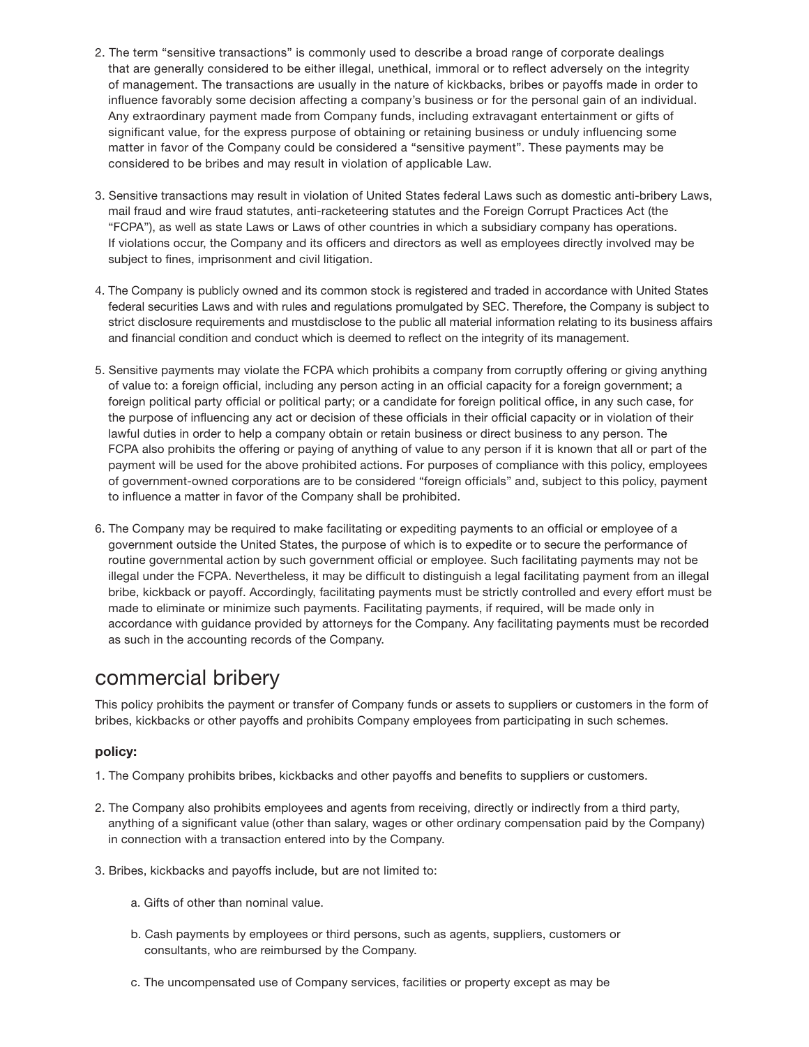- 2. The term "sensitive transactions" is commonly used to describe a broad range of corporate dealings that are generally considered to be either illegal, unethical, immoral or to reflect adversely on the integrity of management. The transactions are usually in the nature of kickbacks, bribes or payoffs made in order to influence favorably some decision affecting a company's business or for the personal gain of an individual. Any extraordinary payment made from Company funds, including extravagant entertainment or gifts of significant value, for the express purpose of obtaining or retaining business or unduly influencing some matter in favor of the Company could be considered a "sensitive payment". These payments may be considered to be bribes and may result in violation of applicable Law.
- 3. Sensitive transactions may result in violation of United States federal Laws such as domestic anti-bribery Laws, mail fraud and wire fraud statutes, anti-racketeering statutes and the Foreign Corrupt Practices Act (the "FCPA"), as well as state Laws or Laws of other countries in which a subsidiary company has operations. If violations occur, the Company and its officers and directors as well as employees directly involved may be subject to fines, imprisonment and civil litigation.
- 4. The Company is publicly owned and its common stock is registered and traded in accordance with United States federal securities Laws and with rules and regulations promulgated by SEC. Therefore, the Company is subject to strict disclosure requirements and mustdisclose to the public all material information relating to its business affairs and financial condition and conduct which is deemed to reflect on the integrity of its management.
- 5. Sensitive payments may violate the FCPA which prohibits a company from corruptly offering or giving anything of value to: a foreign official, including any person acting in an official capacity for a foreign government; a foreign political party official or political party; or a candidate for foreign political office, in any such case, for the purpose of influencing any act or decision of these officials in their official capacity or in violation of their lawful duties in order to help a company obtain or retain business or direct business to any person. The FCPA also prohibits the offering or paying of anything of value to any person if it is known that all or part of the payment will be used for the above prohibited actions. For purposes of compliance with this policy, employees of government-owned corporations are to be considered "foreign officials" and, subject to this policy, payment to influence a matter in favor of the Company shall be prohibited.
- 6. The Company may be required to make facilitating or expediting payments to an official or employee of a government outside the United States, the purpose of which is to expedite or to secure the performance of routine governmental action by such government official or employee. Such facilitating payments may not be illegal under the FCPA. Nevertheless, it may be difficult to distinguish a legal facilitating payment from an illegal bribe, kickback or payoff. Accordingly, facilitating payments must be strictly controlled and every effort must be made to eliminate or minimize such payments. Facilitating payments, if required, will be made only in accordance with guidance provided by attorneys for the Company. Any facilitating payments must be recorded as such in the accounting records of the Company.

### commercial bribery

This policy prohibits the payment or transfer of Company funds or assets to suppliers or customers in the form of bribes, kickbacks or other payoffs and prohibits Company employees from participating in such schemes.

### **policy:**

- 1. The Company prohibits bribes, kickbacks and other payoffs and benefits to suppliers or customers.
- 2. The Company also prohibits employees and agents from receiving, directly or indirectly from a third party, anything of a significant value (other than salary, wages or other ordinary compensation paid by the Company) in connection with a transaction entered into by the Company.
- 3. Bribes, kickbacks and payoffs include, but are not limited to:
	- a. Gifts of other than nominal value.
	- b. Cash payments by employees or third persons, such as agents, suppliers, customers or consultants, who are reimbursed by the Company.
	- c. The uncompensated use of Company services, facilities or property except as may be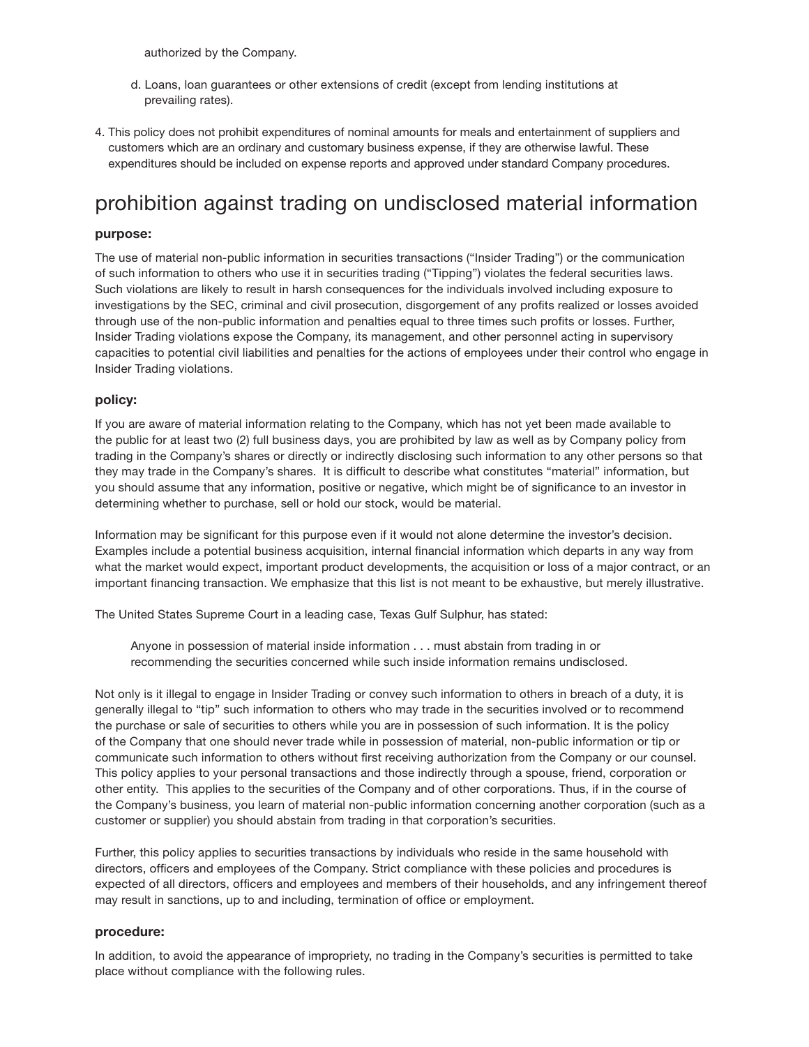authorized by the Company.

- d. Loans, loan guarantees or other extensions of credit (except from lending institutions at prevailing rates).
- 4. This policy does not prohibit expenditures of nominal amounts for meals and entertainment of suppliers and customers which are an ordinary and customary business expense, if they are otherwise lawful. These expenditures should be included on expense reports and approved under standard Company procedures.

## prohibition against trading on undisclosed material information

### **purpose:**

The use of material non-public information in securities transactions ("Insider Trading") or the communication of such information to others who use it in securities trading ("Tipping") violates the federal securities laws. Such violations are likely to result in harsh consequences for the individuals involved including exposure to investigations by the SEC, criminal and civil prosecution, disgorgement of any profits realized or losses avoided through use of the non-public information and penalties equal to three times such profits or losses. Further, Insider Trading violations expose the Company, its management, and other personnel acting in supervisory capacities to potential civil liabilities and penalties for the actions of employees under their control who engage in Insider Trading violations.

### **policy:**

If you are aware of material information relating to the Company, which has not yet been made available to the public for at least two (2) full business days, you are prohibited by law as well as by Company policy from trading in the Company's shares or directly or indirectly disclosing such information to any other persons so that they may trade in the Company's shares. It is difficult to describe what constitutes "material" information, but you should assume that any information, positive or negative, which might be of significance to an investor in determining whether to purchase, sell or hold our stock, would be material.

Information may be significant for this purpose even if it would not alone determine the investor's decision. Examples include a potential business acquisition, internal financial information which departs in any way from what the market would expect, important product developments, the acquisition or loss of a major contract, or an important financing transaction. We emphasize that this list is not meant to be exhaustive, but merely illustrative.

The United States Supreme Court in a leading case, Texas Gulf Sulphur, has stated:

Anyone in possession of material inside information . . . must abstain from trading in or recommending the securities concerned while such inside information remains undisclosed.

Not only is it illegal to engage in Insider Trading or convey such information to others in breach of a duty, it is generally illegal to "tip" such information to others who may trade in the securities involved or to recommend the purchase or sale of securities to others while you are in possession of such information. It is the policy of the Company that one should never trade while in possession of material, non-public information or tip or communicate such information to others without first receiving authorization from the Company or our counsel. This policy applies to your personal transactions and those indirectly through a spouse, friend, corporation or other entity. This applies to the securities of the Company and of other corporations. Thus, if in the course of the Company's business, you learn of material non-public information concerning another corporation (such as a customer or supplier) you should abstain from trading in that corporation's securities.

Further, this policy applies to securities transactions by individuals who reside in the same household with directors, officers and employees of the Company. Strict compliance with these policies and procedures is expected of all directors, officers and employees and members of their households, and any infringement thereof may result in sanctions, up to and including, termination of office or employment.

### **procedure:**

In addition, to avoid the appearance of impropriety, no trading in the Company's securities is permitted to take place without compliance with the following rules.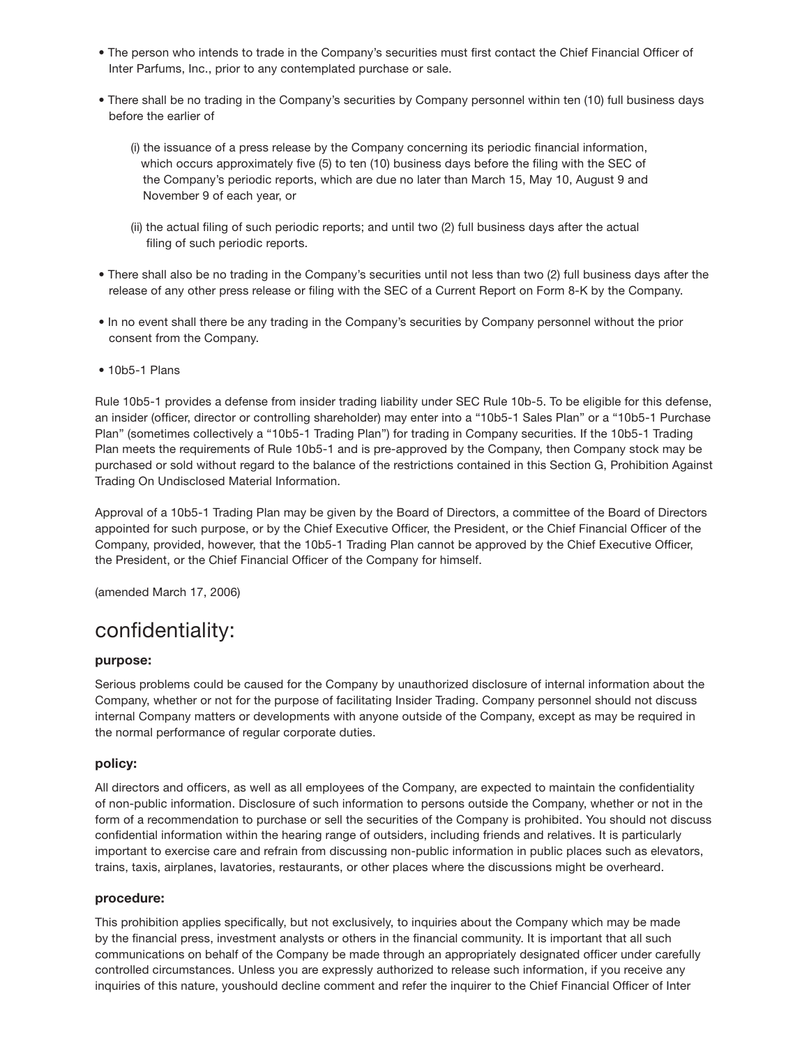- The person who intends to trade in the Company's securities must first contact the Chief Financial Officer of Inter Parfums, Inc., prior to any contemplated purchase or sale.
- There shall be no trading in the Company's securities by Company personnel within ten (10) full business days before the earlier of
	- (i) the issuance of a press release by the Company concerning its periodic financial information, which occurs approximately five (5) to ten (10) business days before the filing with the SEC of the Company's periodic reports, which are due no later than March 15, May 10, August 9 and November 9 of each year, or
	- (ii) the actual filing of such periodic reports; and until two (2) full business days after the actual filing of such periodic reports.
- There shall also be no trading in the Company's securities until not less than two (2) full business days after the release of any other press release or filing with the SEC of a Current Report on Form 8-K by the Company.
- In no event shall there be any trading in the Company's securities by Company personnel without the prior consent from the Company.
- 10b5-1 Plans

Rule 10b5-1 provides a defense from insider trading liability under SEC Rule 10b-5. To be eligible for this defense, an insider (officer, director or controlling shareholder) may enter into a "10b5-1 Sales Plan" or a "10b5-1 Purchase Plan" (sometimes collectively a "10b5-1 Trading Plan") for trading in Company securities. If the 10b5-1 Trading Plan meets the requirements of Rule 10b5-1 and is pre-approved by the Company, then Company stock may be purchased or sold without regard to the balance of the restrictions contained in this Section G, Prohibition Against Trading On Undisclosed Material Information.

Approval of a 10b5-1 Trading Plan may be given by the Board of Directors, a committee of the Board of Directors appointed for such purpose, or by the Chief Executive Officer, the President, or the Chief Financial Officer of the Company, provided, however, that the 10b5-1 Trading Plan cannot be approved by the Chief Executive Officer, the President, or the Chief Financial Officer of the Company for himself.

(amended March 17, 2006)

# confidentiality:

### **purpose:**

Serious problems could be caused for the Company by unauthorized disclosure of internal information about the Company, whether or not for the purpose of facilitating Insider Trading. Company personnel should not discuss internal Company matters or developments with anyone outside of the Company, except as may be required in the normal performance of regular corporate duties.

### **policy:**

All directors and officers, as well as all employees of the Company, are expected to maintain the confidentiality of non-public information. Disclosure of such information to persons outside the Company, whether or not in the form of a recommendation to purchase or sell the securities of the Company is prohibited. You should not discuss confidential information within the hearing range of outsiders, including friends and relatives. It is particularly important to exercise care and refrain from discussing non-public information in public places such as elevators, trains, taxis, airplanes, lavatories, restaurants, or other places where the discussions might be overheard.

### **procedure:**

This prohibition applies specifically, but not exclusively, to inquiries about the Company which may be made by the financial press, investment analysts or others in the financial community. It is important that all such communications on behalf of the Company be made through an appropriately designated officer under carefully controlled circumstances. Unless you are expressly authorized to release such information, if you receive any inquiries of this nature, youshould decline comment and refer the inquirer to the Chief Financial Officer of Inter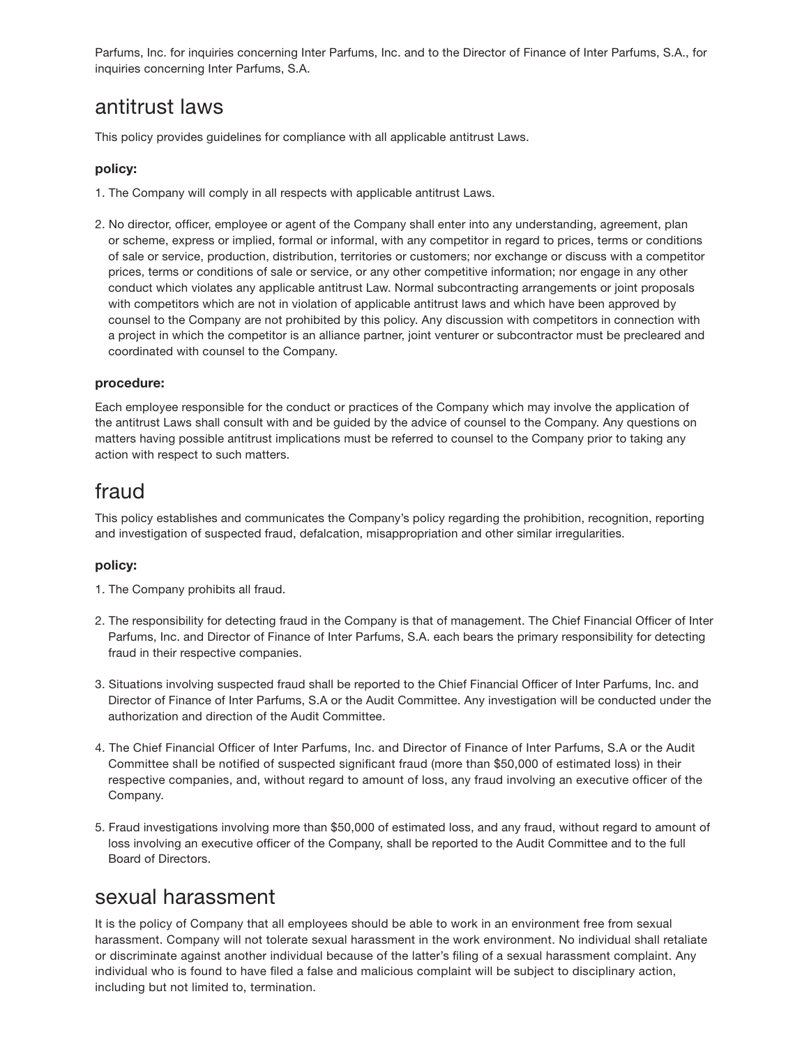Parfums, Inc. for inquiries concerning Inter Parfums, Inc. and to the Director of Finance of Inter Parfums, S.A., for inquiries concerning Inter Parfums, S.A.

### antitrust laws

This policy provides guidelines for compliance with all applicable antitrust Laws.

### **policy:**

- 1. The Company will comply in all respects with applicable antitrust Laws.
- 2. No director, officer, employee or agent of the Company shall enter into any understanding, agreement, plan or scheme, express or implied, formal or informal, with any competitor in regard to prices, terms or conditions of sale or service, production, distribution, territories or customers; nor exchange or discuss with a competitor prices, terms or conditions of sale or service, or any other competitive information; nor engage in any other conduct which violates any applicable antitrust Law. Normal subcontracting arrangements or joint proposals with competitors which are not in violation of applicable antitrust laws and which have been approved by counsel to the Company are not prohibited by this policy. Any discussion with competitors in connection with a project in which the competitor is an alliance partner, joint venturer or subcontractor must be precleared and coordinated with counsel to the Company.

### **procedure:**

Each employee responsible for the conduct or practices of the Company which may involve the application of the antitrust Laws shall consult with and be guided by the advice of counsel to the Company. Any questions on matters having possible antitrust implications must be referred to counsel to the Company prior to taking any action with respect to such matters.

### fraud

This policy establishes and communicates the Company's policy regarding the prohibition, recognition, reporting and investigation of suspected fraud, defalcation, misappropriation and other similar irregularities.

### **policy:**

- 1. The Company prohibits all fraud.
- 2. The responsibility for detecting fraud in the Company is that of management. The Chief Financial Officer of Inter Parfums, Inc. and Director of Finance of Inter Parfums, S.A. each bears the primary responsibility for detecting fraud in their respective companies.
- 3. Situations involving suspected fraud shall be reported to the Chief Financial Officer of Inter Parfums, Inc. and Director of Finance of Inter Parfums, S.A or the Audit Committee. Any investigation will be conducted under the authorization and direction of the Audit Committee.
- 4. The Chief Financial Officer of Inter Parfums, Inc. and Director of Finance of Inter Parfums, S.A or the Audit Committee shall be notified of suspected significant fraud (more than \$50,000 of estimated loss) in their respective companies, and, without regard to amount of loss, any fraud involving an executive officer of the Company.
- 5. Fraud investigations involving more than \$50,000 of estimated loss, and any fraud, without regard to amount of loss involving an executive officer of the Company, shall be reported to the Audit Committee and to the full Board of Directors.

### sexual harassment

It is the policy of Company that all employees should be able to work in an environment free from sexual harassment. Company will not tolerate sexual harassment in the work environment. No individual shall retaliate or discriminate against another individual because of the latter's filing of a sexual harassment complaint. Any individual who is found to have filed a false and malicious complaint will be subject to disciplinary action, including but not limited to, termination.